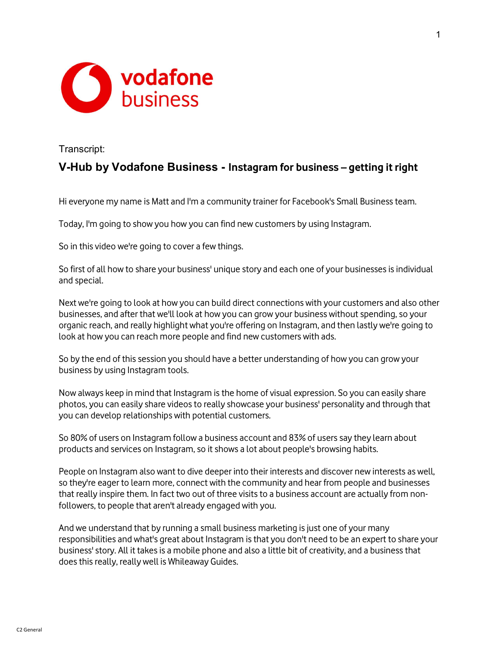

Transcript:

## V-Hub by Vodafone Business - Instagram for business – getting it right

Hi everyone my name is Matt and I'm a community trainer for Facebook's Small Business team.

Today, I'm going to show you how you can find new customers by using Instagram.

So in this video we're going to cover a few things.

So first of all how to share your business' unique story and each one of your businesses is individual and special.

Next we're going to look at how you can build direct connections with your customers and also other businesses, and after that we'll look at how you can grow your business without spending, so your organic reach, and really highlight what you're offering on Instagram, and then lastly we're going to look at how you can reach more people and find new customers with ads.

So by the end of this session you should have a better understanding of how you can grow your business by using Instagram tools.

Now always keep in mind that Instagram is the home of visual expression. So you can easily share photos, you can easily share videos to really showcase your business' personality and through that you can develop relationships with potential customers.

So 80% of users on Instagram follow a business account and 83% of users say they learn about products and services on Instagram, so it shows a lot about people's browsing habits.

People on Instagram also want to dive deeper into their interests and discover new interests as well, so they're eager to learn more, connect with the community and hear from people and businesses that really inspire them. In fact two out of three visits to a business account are actually from nonfollowers, to people that aren't already engaged with you.

And we understand that by running a small business marketing is just one of your many responsibilities and what's great about Instagram is that you don't need to be an expert to share your business' story. All it takes is a mobile phone and also a little bit of creativity, and a business that does this really, really well is Whileaway Guides.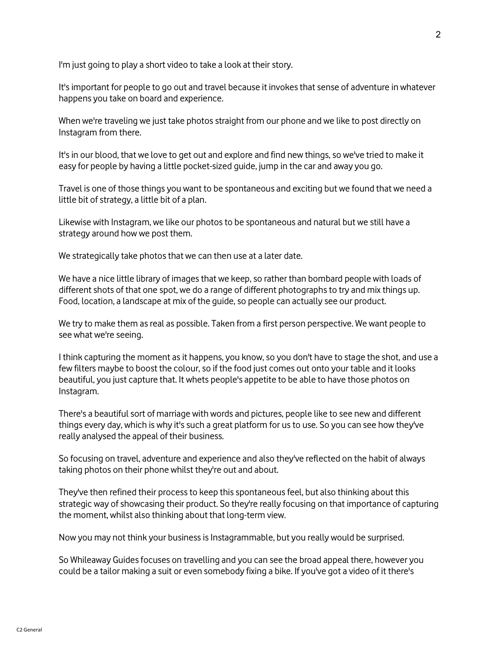I'm just going to play a short video to take a look at their story.

It's important for people to go out and travel because it invokes that sense of adventure in whatever happens you take on board and experience.

When we're traveling we just take photos straight from our phone and we like to post directly on Instagram from there.

It's in our blood, that we love to get out and explore and find new things, so we've tried to make it easy for people by having a little pocket-sized guide, jump in the car and away you go.

Travel is one of those things you want to be spontaneous and exciting but we found that we need a little bit of strategy, a little bit of a plan.

Likewise with Instagram, we like our photos to be spontaneous and natural but we still have a strategy around how we post them.

We strategically take photos that we can then use at a later date.

We have a nice little library of images that we keep, so rather than bombard people with loads of different shots of that one spot, we do a range of different photographs to try and mix things up. Food, location, a landscape at mix of the guide, so people can actually see our product.

We try to make them as real as possible. Taken from a first person perspective. We want people to see what we're seeing.

I think capturing the moment as it happens, you know, so you don't have to stage the shot, and use a few filters maybe to boost the colour, so if the food just comes out onto your table and it looks beautiful, you just capture that. It whets people's appetite to be able to have those photos on Instagram.

There's a beautiful sort of marriage with words and pictures, people like to see new and different things every day, which is why it's such a great platform for us to use. So you can see how they've really analysed the appeal of their business.

So focusing on travel, adventure and experience and also they've reflected on the habit of always taking photos on their phone whilst they're out and about.

They've then refined their process to keep this spontaneous feel, but also thinking about this strategic way of showcasing their product. So they're really focusing on that importance of capturing the moment, whilst also thinking about that long-term view.

Now you may not think your business is Instagrammable, but you really would be surprised.

So Whileaway Guides focuses on travelling and you can see the broad appeal there, however you could be a tailor making a suit or even somebody fixing a bike. If you've got a video of it there's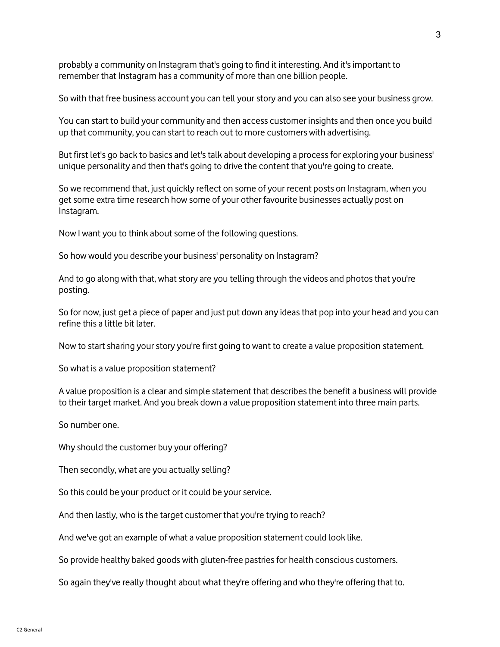probably a community on Instagram that's going to find it interesting. And it's important to remember that Instagram has a community of more than one billion people.

So with that free business account you can tell your story and you can also see your business grow.

You can start to build your community and then access customer insights and then once you build up that community, you can start to reach out to more customers with advertising.

But first let's go back to basics and let's talk about developing a process for exploring your business' unique personality and then that's going to drive the content that you're going to create.

So we recommend that, just quickly reflect on some of your recent posts on Instagram, when you get some extra time research how some of your other favourite businesses actually post on Instagram.

Now I want you to think about some of the following questions.

So how would you describe your business' personality on Instagram?

And to go along with that, what story are you telling through the videos and photos that you're posting.

So for now, just get a piece of paper and just put down any ideas that pop into your head and you can refine this a little bit later.

Now to start sharing your story you're first going to want to create a value proposition statement.

So what is a value proposition statement?

A value proposition is a clear and simple statement that describes the benefit a business will provide to their target market. And you break down a value proposition statement into three main parts.

So number one.

Why should the customer buy your offering?

Then secondly, what are you actually selling?

So this could be your product or it could be your service.

And then lastly, who is the target customer that you're trying to reach?

And we've got an example of what a value proposition statement could look like.

So provide healthy baked goods with gluten-free pastries for health conscious customers.

So again they've really thought about what they're offering and who they're offering that to.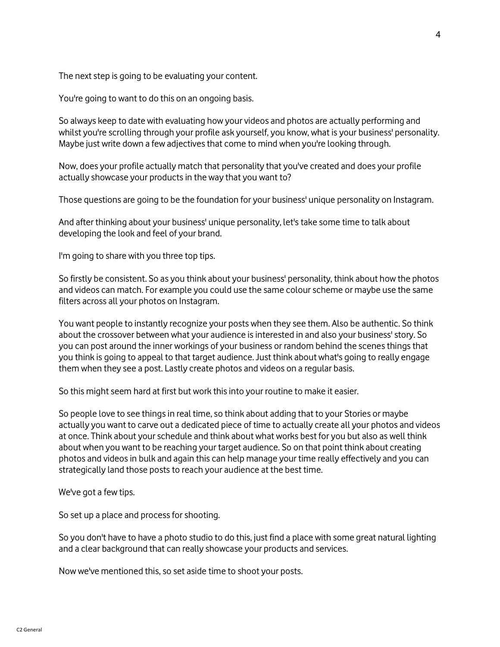The next step is going to be evaluating your content.

You're going to want to do this on an ongoing basis.

So always keep to date with evaluating how your videos and photos are actually performing and whilst you're scrolling through your profile ask yourself, you know, what is your business' personality. Maybe just write down a few adjectives that come to mind when you're looking through.

Now, does your profile actually match that personality that you've created and does your profile actually showcase your products in the way that you want to?

Those questions are going to be the foundation for your business' unique personality on Instagram.

And after thinking about your business' unique personality, let's take some time to talk about developing the look and feel of your brand.

I'm going to share with you three top tips.

So firstly be consistent. So as you think about your business' personality, think about how the photos and videos can match. For example you could use the same colour scheme or maybe use the same filters across all your photos on Instagram.

You want people to instantly recognize your posts when they see them. Also be authentic. So think about the crossover between what your audience is interested in and also your business' story. So you can post around the inner workings of your business or random behind the scenes things that you think is going to appeal to that target audience. Just think about what's going to really engage them when they see a post. Lastly create photos and videos on a regular basis.

So this might seem hard at first but work this into your routine to make it easier.

So people love to see things in real time, so think about adding that to your Stories or maybe actually you want to carve out a dedicated piece of time to actually create all your photos and videos at once. Think about your schedule and think about what works best for you but also as well think about when you want to be reaching your target audience. So on that point think about creating photos and videos in bulk and again this can help manage your time really effectively and you can strategically land those posts to reach your audience at the best time.

We've got a few tips.

So set up a place and process for shooting.

So you don't have to have a photo studio to do this, just find a place with some great natural lighting and a clear background that can really showcase your products and services.

Now we've mentioned this, so set aside time to shoot your posts.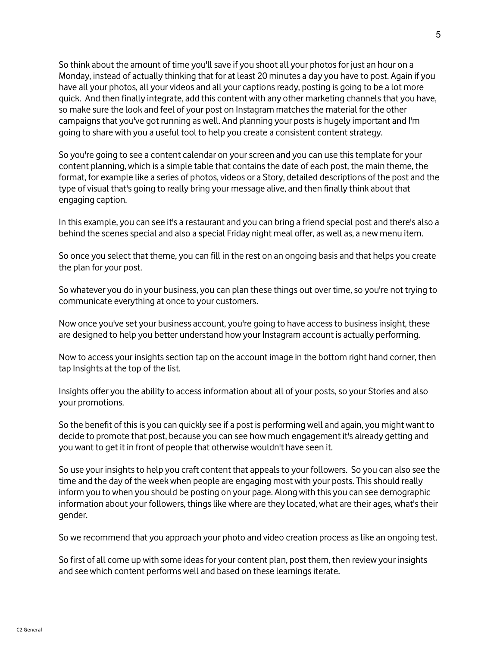So think about the amount of time you'll save if you shoot all your photos for just an hour on a Monday, instead of actually thinking that for at least 20 minutes a day you have to post. Again if you have all your photos, all your videos and all your captions ready, posting is going to be a lot more quick. And then finally integrate, add this content with any other marketing channels that you have, so make sure the look and feel of your post on Instagram matches the material for the other campaigns that you've got running as well. And planning your posts is hugely important and I'm going to share with you a useful tool to help you create a consistent content strategy.

So you're going to see a content calendar on your screen and you can use this template for your content planning, which is a simple table that contains the date of each post, the main theme, the format, for example like a series of photos, videos or a Story, detailed descriptions of the post and the type of visual that's going to really bring your message alive, and then finally think about that engaging caption.

In this example, you can see it's a restaurant and you can bring a friend special post and there's also a behind the scenes special and also a special Friday night meal offer, as well as, a new menu item.

So once you select that theme, you can fill in the rest on an ongoing basis and that helps you create the plan for your post.

So whatever you do in your business, you can plan these things out over time, so you're not trying to communicate everything at once to your customers.

Now once you've set your business account, you're going to have access to business insight, these are designed to help you better understand how your Instagram account is actually performing.

Now to access your insights section tap on the account image in the bottom right hand corner, then tap Insights at the top of the list.

Insights offer you the ability to access information about all of your posts, so your Stories and also your promotions.

So the benefit of this is you can quickly see if a post is performing well and again, you might want to decide to promote that post, because you can see how much engagement it's already getting and you want to get it in front of people that otherwise wouldn't have seen it.

So use your insights to help you craft content that appeals to your followers. So you can also see the time and the day of the week when people are engaging most with your posts. This should really inform you to when you should be posting on your page. Along with this you can see demographic information about your followers, things like where are they located, what are their ages, what's their gender.

So we recommend that you approach your photo and video creation process as like an ongoing test.

So first of all come up with some ideas for your content plan, post them, then review your insights and see which content performs well and based on these learnings iterate.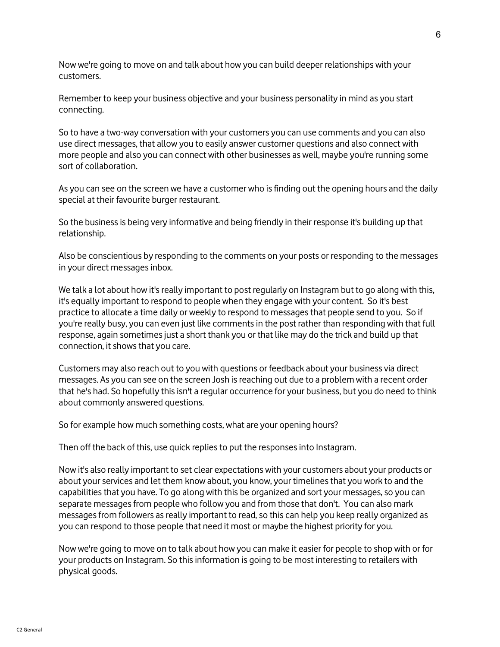Now we're going to move on and talk about how you can build deeper relationships with your customers.

Remember to keep your business objective and your business personality in mind as you start connecting.

So to have a two-way conversation with your customers you can use comments and you can also use direct messages, that allow you to easily answer customer questions and also connect with more people and also you can connect with other businesses as well, maybe you're running some sort of collaboration.

As you can see on the screen we have a customer who is finding out the opening hours and the daily special at their favourite burger restaurant.

So the business is being very informative and being friendly in their response it's building up that relationship.

Also be conscientious by responding to the comments on your posts or responding to the messages in your direct messages inbox.

We talk a lot about how it's really important to post regularly on Instagram but to go along with this, it's equally important to respond to people when they engage with your content. So it's best practice to allocate a time daily or weekly to respond to messages that people send to you. So if you're really busy, you can even just like comments in the post rather than responding with that full response, again sometimes just a short thank you or that like may do the trick and build up that connection, it shows that you care.

Customers may also reach out to you with questions or feedback about your business via direct messages. As you can see on the screen Josh is reaching out due to a problem with a recent order that he's had. So hopefully this isn't a regular occurrence for your business, but you do need to think about commonly answered questions.

So for example how much something costs, what are your opening hours?

Then off the back of this, use quick replies to put the responses into Instagram.

Now it's also really important to set clear expectations with your customers about your products or about your services and let them know about, you know, your timelines that you work to and the capabilities that you have. To go along with this be organized and sort your messages, so you can separate messages from people who follow you and from those that don't. You can also mark messages from followers as really important to read, so this can help you keep really organized as you can respond to those people that need it most or maybe the highest priority for you.

Now we're going to move on to talk about how you can make it easier for people to shop with or for your products on Instagram. So this information is going to be most interesting to retailers with physical goods.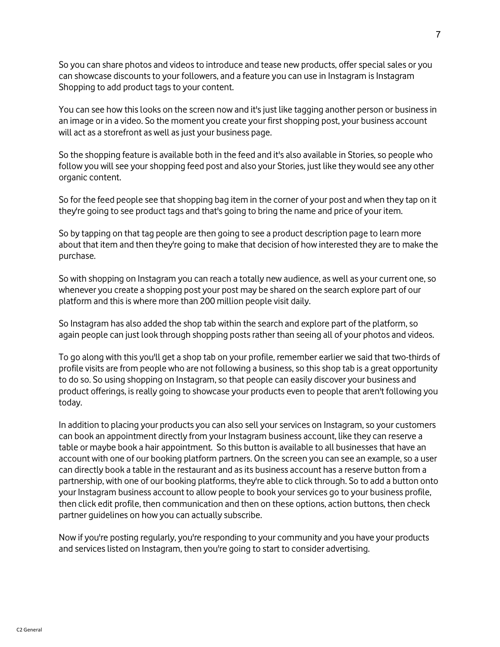So you can share photos and videos to introduce and tease new products, offer special sales or you can showcase discounts to your followers, and a feature you can use in Instagram is Instagram Shopping to add product tags to your content.

You can see how this looks on the screen now and it's just like tagging another person or business in an image or in a video. So the moment you create your first shopping post, your business account will act as a storefront as well as just your business page.

So the shopping feature is available both in the feed and it's also available in Stories, so people who follow you will see your shopping feed post and also your Stories, just like they would see any other organic content.

So for the feed people see that shopping bag item in the corner of your post and when they tap on it they're going to see product tags and that's going to bring the name and price of your item.

So by tapping on that tag people are then going to see a product description page to learn more about that item and then they're going to make that decision of how interested they are to make the purchase.

So with shopping on Instagram you can reach a totally new audience, as well as your current one, so whenever you create a shopping post your post may be shared on the search explore part of our platform and this is where more than 200 million people visit daily.

So Instagram has also added the shop tab within the search and explore part of the platform, so again people can just look through shopping posts rather than seeing all of your photos and videos.

To go along with this you'll get a shop tab on your profile, remember earlier we said that two-thirds of profile visits are from people who are not following a business, so this shop tab is a great opportunity to do so. So using shopping on Instagram, so that people can easily discover your business and product offerings, is really going to showcase your products even to people that aren't following you today.

In addition to placing your products you can also sell your services on Instagram, so your customers can book an appointment directly from your Instagram business account, like they can reserve a table or maybe book a hair appointment. So this button is available to all businesses that have an account with one of our booking platform partners. On the screen you can see an example, so a user can directly book a table in the restaurant and as its business account has a reserve button from a partnership, with one of our booking platforms, they're able to click through. So to add a button onto your Instagram business account to allow people to book your services go to your business profile, then click edit profile, then communication and then on these options, action buttons, then check partner guidelines on how you can actually subscribe.

Now if you're posting regularly, you're responding to your community and you have your products and services listed on Instagram, then you're going to start to consider advertising.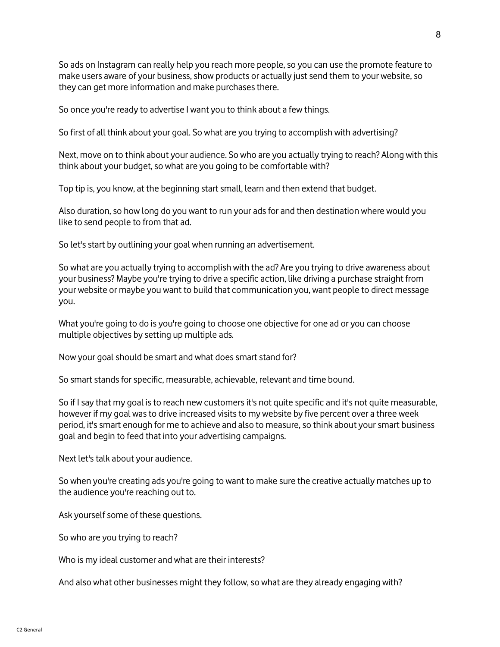So ads on Instagram can really help you reach more people, so you can use the promote feature to make users aware of your business, show products or actually just send them to your website, so they can get more information and make purchases there.

So once you're ready to advertise I want you to think about a few things.

So first of all think about your goal. So what are you trying to accomplish with advertising?

Next, move on to think about your audience. So who are you actually trying to reach? Along with this think about your budget, so what are you going to be comfortable with?

Top tip is, you know, at the beginning start small, learn and then extend that budget.

Also duration, so how long do you want to run your ads for and then destination where would you like to send people to from that ad.

So let's start by outlining your goal when running an advertisement.

So what are you actually trying to accomplish with the ad? Are you trying to drive awareness about your business? Maybe you're trying to drive a specific action, like driving a purchase straight from your website or maybe you want to build that communication you, want people to direct message you.

What you're going to do is you're going to choose one objective for one ad or you can choose multiple objectives by setting up multiple ads.

Now your goal should be smart and what does smart stand for?

So smart stands for specific, measurable, achievable, relevant and time bound.

So if I say that my goal is to reach new customers it's not quite specific and it's not quite measurable, however if my goal was to drive increased visits to my website by five percent over a three week period, it's smart enough for me to achieve and also to measure, so think about your smart business goal and begin to feed that into your advertising campaigns.

Next let's talk about your audience.

So when you're creating ads you're going to want to make sure the creative actually matches up to the audience you're reaching out to.

Ask yourself some of these questions.

So who are you trying to reach?

Who is my ideal customer and what are their interests?

And also what other businesses might they follow, so what are they already engaging with?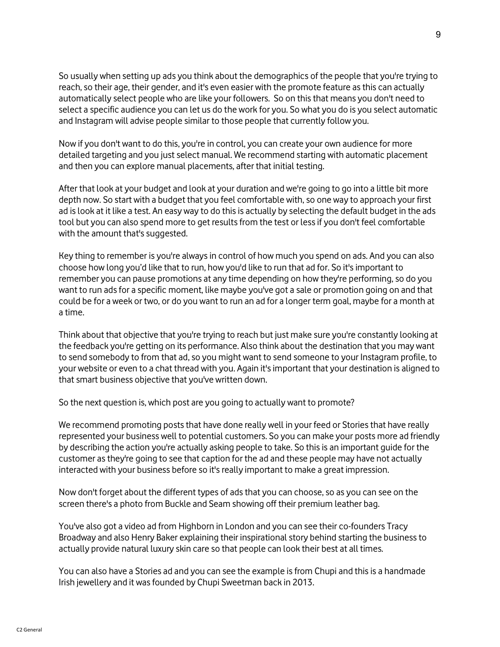So usually when setting up ads you think about the demographics of the people that you're trying to reach, so their age, their gender, and it's even easier with the promote feature as this can actually automatically select people who are like your followers. So on this that means you don't need to select a specific audience you can let us do the work for you. So what you do is you select automatic and Instagram will advise people similar to those people that currently follow you.

Now if you don't want to do this, you're in control, you can create your own audience for more detailed targeting and you just select manual. We recommend starting with automatic placement and then you can explore manual placements, after that initial testing.

After that look at your budget and look at your duration and we're going to go into a little bit more depth now. So start with a budget that you feel comfortable with, so one way to approach your first ad is look at it like a test. An easy way to do this is actually by selecting the default budget in the ads tool but you can also spend more to get results from the test or less if you don't feel comfortable with the amount that's suggested.

Key thing to remember is you're always in control of how much you spend on ads. And you can also choose how long you'd like that to run, how you'd like to run that ad for. So it's important to remember you can pause promotions at any time depending on how they're performing, so do you want to run ads for a specific moment, like maybe you've got a sale or promotion going on and that could be for a week or two, or do you want to run an ad for a longer term goal, maybe for a month at a time.

Think about that objective that you're trying to reach but just make sure you're constantly looking at the feedback you're getting on its performance. Also think about the destination that you may want to send somebody to from that ad, so you might want to send someone to your Instagram profile, to your website or even to a chat thread with you. Again it's important that your destination is aligned to that smart business objective that you've written down.

So the next question is, which post are you going to actually want to promote?

We recommend promoting posts that have done really well in your feed or Stories that have really represented your business well to potential customers. So you can make your posts more ad friendly by describing the action you're actually asking people to take. So this is an important guide for the customer as they're going to see that caption for the ad and these people may have not actually interacted with your business before so it's really important to make a great impression.

Now don't forget about the different types of ads that you can choose, so as you can see on the screen there's a photo from Buckle and Seam showing off their premium leather bag.

You've also got a video ad from Highborn in London and you can see their co-founders Tracy Broadway and also Henry Baker explaining their inspirational story behind starting the business to actually provide natural luxury skin care so that people can look their best at all times.

You can also have a Stories ad and you can see the example is from Chupi and this is a handmade Irish jewellery and it was founded by Chupi Sweetman back in 2013.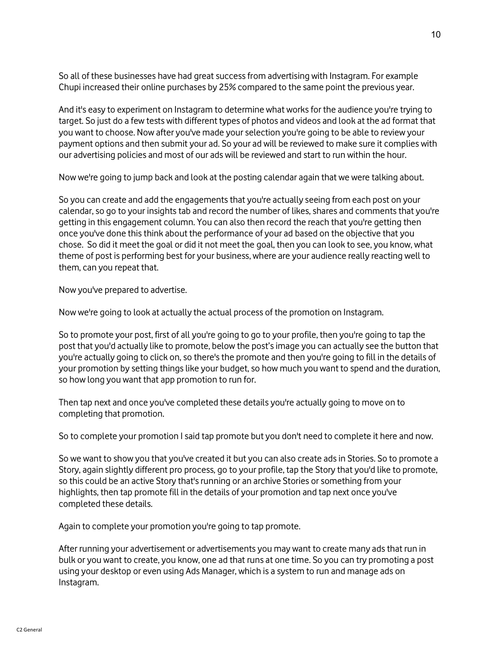So all of these businesses have had great success from advertising with Instagram. For example Chupi increased their online purchases by 25% compared to the same point the previous year.

And it's easy to experiment on Instagram to determine what works for the audience you're trying to target. So just do a few tests with different types of photos and videos and look at the ad format that you want to choose. Now after you've made your selection you're going to be able to review your payment options and then submit your ad. So your ad will be reviewed to make sure it complies with our advertising policies and most of our ads will be reviewed and start to run within the hour.

Now we're going to jump back and look at the posting calendar again that we were talking about.

So you can create and add the engagements that you're actually seeing from each post on your calendar, so go to your insights tab and record the number of likes, shares and comments that you're getting in this engagement column. You can also then record the reach that you're getting then once you've done this think about the performance of your ad based on the objective that you chose. So did it meet the goal or did it not meet the goal, then you can look to see, you know, what theme of post is performing best for your business, where are your audience really reacting well to them, can you repeat that.

Now you've prepared to advertise.

Now we're going to look at actually the actual process of the promotion on Instagram.

So to promote your post, first of all you're going to go to your profile, then you're going to tap the post that you'd actually like to promote, below the post's image you can actually see the button that you're actually going to click on, so there's the promote and then you're going to fill in the details of your promotion by setting things like your budget, so how much you want to spend and the duration, so how long you want that app promotion to run for.

Then tap next and once you've completed these details you're actually going to move on to completing that promotion.

So to complete your promotion I said tap promote but you don't need to complete it here and now.

So we want to show you that you've created it but you can also create ads in Stories. So to promote a Story, again slightly different pro process, go to your profile, tap the Story that you'd like to promote, so this could be an active Story that's running or an archive Stories or something from your highlights, then tap promote fill in the details of your promotion and tap next once you've completed these details.

Again to complete your promotion you're going to tap promote.

After running your advertisement or advertisements you may want to create many ads that run in bulk or you want to create, you know, one ad that runs at one time. So you can try promoting a post using your desktop or even using Ads Manager, which is a system to run and manage ads on Instagram.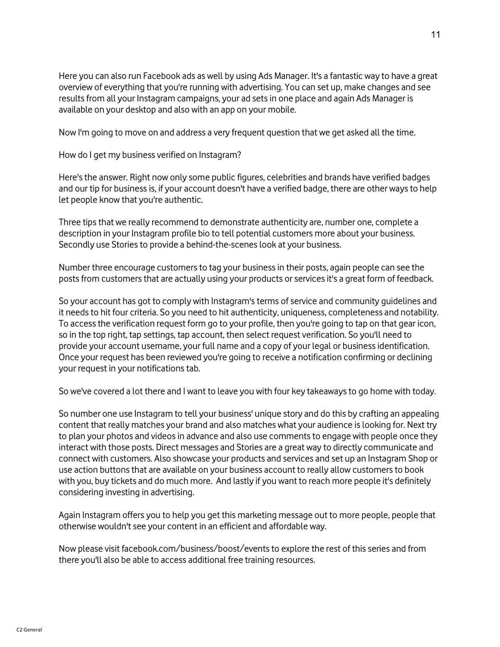Here you can also run Facebook ads as well by using Ads Manager. It's a fantastic way to have a great overview of everything that you're running with advertising. You can set up, make changes and see results from all your Instagram campaigns, your ad sets in one place and again Ads Manager is available on your desktop and also with an app on your mobile.

Now I'm going to move on and address a very frequent question that we get asked all the time.

How do I get my business verified on Instagram?

Here's the answer. Right now only some public figures, celebrities and brands have verified badges and our tip for business is, if your account doesn't have a verified badge, there are other ways to help let people know that you're authentic.

Three tips that we really recommend to demonstrate authenticity are, number one, complete a description in your Instagram profile bio to tell potential customers more about your business. Secondly use Stories to provide a behind-the-scenes look at your business.

Number three encourage customers to tag your business in their posts, again people can see the posts from customers that are actually using your products or services it's a great form of feedback.

So your account has got to comply with Instagram's terms of service and community guidelines and it needs to hit four criteria. So you need to hit authenticity, uniqueness, completeness and notability. To access the verification request form go to your profile, then you're going to tap on that gear icon, so in the top right, tap settings, tap account, then select request verification. So you'll need to provide your account username, your full name and a copy of your legal or business identification. Once your request has been reviewed you're going to receive a notification confirming or declining your request in your notifications tab.

So we've covered a lot there and I want to leave you with four key takeaways to go home with today.

So number one use Instagram to tell your business' unique story and do this by crafting an appealing content that really matches your brand and also matches what your audience is looking for. Next try to plan your photos and videos in advance and also use comments to engage with people once they interact with those posts. Direct messages and Stories are a great way to directly communicate and connect with customers. Also showcase your products and services and set up an Instagram Shop or use action buttons that are available on your business account to really allow customers to book with you, buy tickets and do much more. And lastly if you want to reach more people it's definitely considering investing in advertising.

Again Instagram offers you to help you get this marketing message out to more people, people that otherwise wouldn't see your content in an efficient and affordable way.

Now please visit facebook.com/business/boost/events to explore the rest of this series and from there you'll also be able to access additional free training resources.